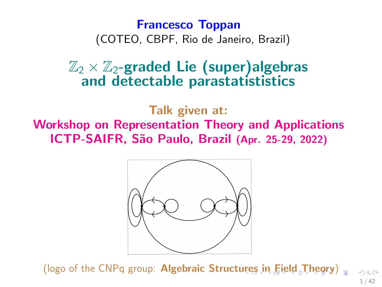# <span id="page-0-0"></span>Francesco Toppan (COTEO, CBPF, Rio de Janeiro, Brazil)

# $\mathbb{Z}_2 \times \mathbb{Z}_2$ -graded Lie (super)algebras and detectable parastatististics

Talk given at: Workshop on Representation Theory and Applications ICTP-SAIFR, S˜ao Paulo, Brazil (Apr. 25-29, 2022)



(logo of the CNPq group: Algebraic Struct[ure](#page-0-0)[s i](#page-1-0)n  $Eield$  $Eield$  $Eield$ -T[heo](#page-0-0)[ry](#page-41-0)[\)](#page-0-0) = 1 / 42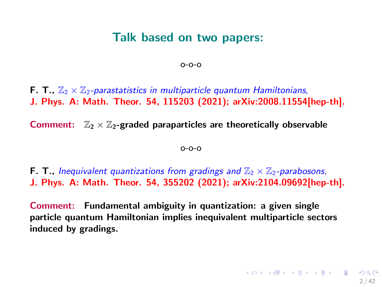## Talk based on two papers:

o-o-o

<span id="page-1-0"></span>**F. T.,**  $\mathbb{Z}_2 \times \mathbb{Z}_2$ -parastatistics in multiparticle quantum Hamiltonians, J. Phys. A: Math. Theor. 54, 115203 (2021); arXiv:2008.11554[hep-th].

Comment:  $\mathbb{Z}_2 \times \mathbb{Z}_2$ -graded paraparticles are theoretically observable

o-o-o

**F. T., Inequivalent quantizations from gradings and**  $\mathbb{Z}_2 \times \mathbb{Z}_2$ -parabosons, J. Phys. A: Math. Theor. 54, 355202 (2021); arXiv:2104.09692[hep-th].

Comment: Fundamental ambiguity in quantization: a given single particle quantum Hamiltonian implies inequivalent multiparticle sectors induced by gradings.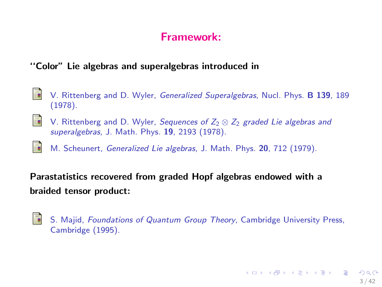## Framework:

#### ''Color" Lie algebras and superalgebras introduced in

- F. V. Rittenberg and D. Wyler, Generalized Superalgebras, Nucl. Phys. B 139, 189 (1978).
- 晶 V. Rittenberg and D. Wyler, Sequences of  $Z_2 \otimes Z_2$  graded Lie algebras and superalgebras, J. Math. Phys. 19, 2193 (1978).
- 譶 M. Scheunert, Generalized Lie algebras, J. Math. Phys. 20, 712 (1979).

Parastatistics recovered from graded Hopf algebras endowed with a braided tensor product:

S. S. Majid, Foundations of Quantum Group Theory, Cambridge University Press, Cambridge (1995).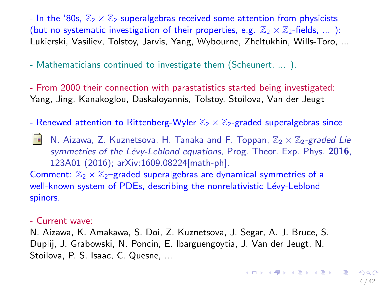- In the '80s,  $\mathbb{Z}_2 \times \mathbb{Z}_2$ -superalgebras received some attention from physicists (but no systematic investigation of their properties, e.g.  $\mathbb{Z}_2 \times \mathbb{Z}_2$ -fields, ...): Lukierski, Vasiliev, Tolstoy, Jarvis, Yang, Wybourne, Zheltukhin, Wills-Toro, ...

- Mathematicians continued to investigate them (Scheunert, ... ).

- From 2000 their connection with parastatistics started being investigated: Yang, Jing, Kanakoglou, Daskaloyannis, Tolstoy, Stoilova, Van der Jeugt

- Renewed attention to Rittenberg-Wyler  $\mathbb{Z}_2 \times \mathbb{Z}_2$ -graded superalgebras since

N. Aizawa, Z. Kuznetsova, H. Tanaka and F. Toppan,  $\mathbb{Z}_2 \times \mathbb{Z}_2$ -graded Lie symmetries of the Lévy-Leblond equations, Prog. Theor. Exp. Phys. 2016, 123A01 (2016); arXiv:1609.08224[math-ph].

Comment:  $\mathbb{Z}_2 \times \mathbb{Z}_2$ -graded superalgebras are dynamical symmetries of a well-known system of PDEs, describing the nonrelativistic Lévy-Leblond spinors.

#### - Current wave:

N. Aizawa, K. Amakawa, S. Doi, Z. Kuznetsova, J. Segar, A. J. Bruce, S. Duplij, J. Grabowski, N. Poncin, E. Ibarguengoytia, J. Van der Jeugt, N. Stoilova, P. S. Isaac, C. Quesne, ...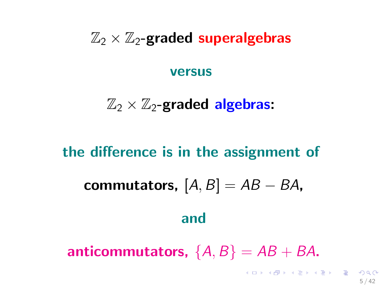# $\mathbb{Z}_2 \times \mathbb{Z}_2$ -graded superalgebras

#### versus

# $\mathbb{Z}_2 \times \mathbb{Z}_2$ -graded algebras:

# the difference is in the assignment of commutators,  $[A, B] = AB - BA$ , and anticommutators,  $\{A, B\} = AB + BA$ .

5 / 42

 $\mathbf{E} = \mathbf{A} \oplus \mathbf{A} + \mathbf{A} \oplus \mathbf{A} + \mathbf{A} \oplus \mathbf{A} + \mathbf{A} \oplus \mathbf{A}$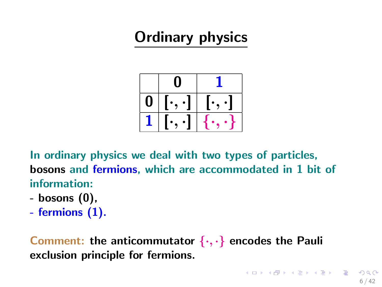# Ordinary physics



In ordinary physics we deal with two types of particles, bosons and fermions, which are accommodated in 1 bit of information:

- bosons (0),
- fermions (1).

Comment: the anticommutator  $\{\cdot,\cdot\}$  encodes the Pauli exclusion principle for fermions.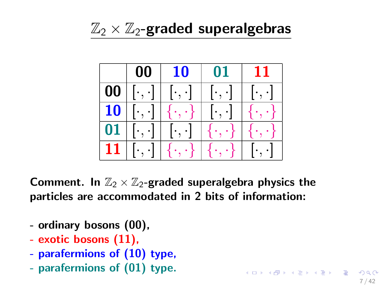# $\mathbb{Z}_2 \times \mathbb{Z}_2$ -graded superalgebras



7 / 42

Comment. In  $\mathbb{Z}_2 \times \mathbb{Z}_2$ -graded superalgebra physics the particles are accommodated in 2 bits of information:

- ordinary bosons (00),
- exotic bosons (11),
- parafermions of (10) type,
- parafermions of (01) type.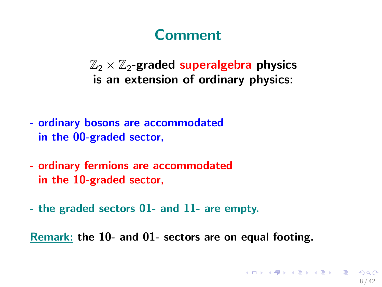# **Comment**

 $\mathbb{Z}_2 \times \mathbb{Z}_2$ -graded superalgebra physics is an extension of ordinary physics:

- ordinary bosons are accommodated in the 00-graded sector,
- ordinary fermions are accommodated in the 10-graded sector,
- the graded sectors 01- and 11- are empty.

Remark: the 10- and 01- sectors are on equal footing.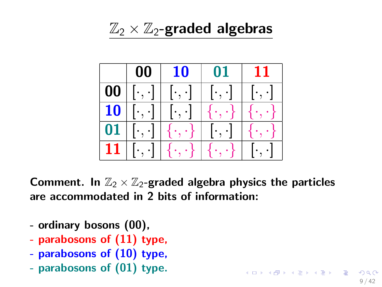$\mathbb{Z}_2 \times \mathbb{Z}_2$ -graded algebras



Comment. In  $\mathbb{Z}_2 \times \mathbb{Z}_2$ -graded algebra physics the particles are accommodated in 2 bits of information:

9 / 42

K ロ X K @ X K 할 X K 할 X ( 할

- ordinary bosons (00),
- parabosons of (11) type,
- parabosons of (10) type,
- parabosons of (01) type.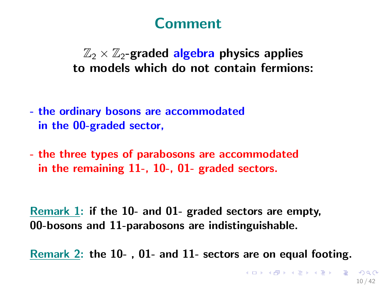# Comment

# $\mathbb{Z}_2 \times \mathbb{Z}_2$ -graded algebra physics applies to models which do not contain fermions:

- the ordinary bosons are accommodated in the 00-graded sector,
- the three types of parabosons are accommodated in the remaining 11-, 10-, 01- graded sectors.

Remark 1: if the 10- and 01- graded sectors are empty, 00-bosons and 11-parabosons are indistinguishable.

Remark 2: the 10- , 01- and 11- sectors are on equal footing.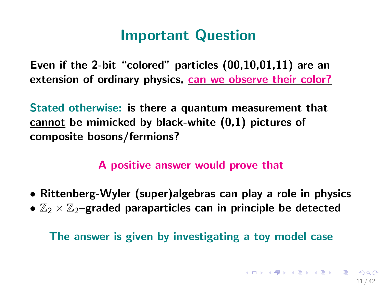# Important Question

Even if the 2-bit "colored" particles (00,10,01,11) are an extension of ordinary physics, can we observe their color?

Stated otherwise: is there a quantum measurement that cannot be mimicked by black-white (0,1) pictures of composite bosons/fermions?

## A positive answer would prove that

- Rittenberg-Wyler (super)algebras can play a role in physics
- $\mathbb{Z}_2 \times \mathbb{Z}_2$ -graded paraparticles can in principle be detected

The answer is given by investigating a toy model case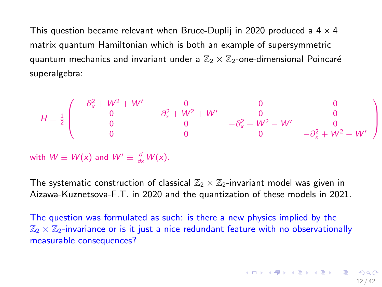<span id="page-11-0"></span>This question became relevant when Bruce-Duplij in 2020 produced a  $4 \times 4$ matrix quantum Hamiltonian which is both an example of supersymmetric quantum mechanics and invariant under a  $\mathbb{Z}_2 \times \mathbb{Z}_2$ -one-dimensional Poincaré superalgebra:

$$
H = \frac{1}{2} \begin{pmatrix} -\partial_x^2 + W^2 + W' & 0 & 0 & 0 \\ 0 & -\partial_x^2 + W^2 + W' & 0 & 0 \\ 0 & 0 & -\partial_x^2 + W^2 - W' & 0 \\ 0 & 0 & 0 & -\partial_x^2 + W^2 - W' \end{pmatrix}
$$

with  $W \equiv W(x)$  and  $W' \equiv \frac{d}{dx}W(x)$ .

The systematic construction of classical  $\mathbb{Z}_2 \times \mathbb{Z}_2$ -invariant model was given in Aizawa-Kuznetsova-F.T. in 2020 and the quantization of these models in 2021.

The question was formulated as such: is there a new physics implied by the  $\mathbb{Z}_2 \times \mathbb{Z}_2$ -invariance or is it just a nice redundant feature with no observationally measurable consequences?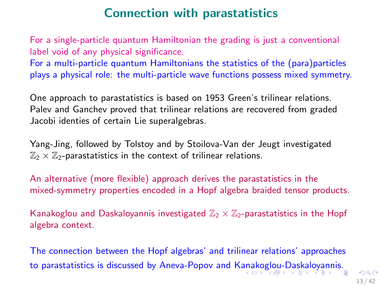# Connection with parastatistics

<span id="page-12-0"></span>For a single-particle quantum Hamiltonian the grading is just a conventional label void of any physical significance.

For a multi-particle quantum Hamiltonians the statistics of the (para)particles plays a physical role: the multi-particle wave functions possess mixed symmetry.

One approach to parastatistics is based on 1953 Green's trilinear relations. Palev and Ganchev proved that trilinear relations are recovered from graded Jacobi identies of certain Lie superalgebras.

Yang-Jing, followed by Tolstoy and by Stoilova-Van der Jeugt investigated  $\mathbb{Z}_2 \times \mathbb{Z}_2$ -parastatistics in the context of trilinear relations.

An alternative (more flexible) approach derives the parastatistics in the mixed-symmetry properties encoded in a Hopf algebra braided tensor products.

Kanakoglou and Daskaloyannis investigated  $\mathbb{Z}_2 \times \mathbb{Z}_2$ -parastatistics in the Hopf algebra context.

The connection between the Hopf algebras' and trilinear relations' approaches to parastatistics is discussed by Aneva-Popov and K[ana](#page-11-0)[ko](#page-13-0)[gl](#page-11-0)[ou](#page-12-0)[-D](#page-13-0)[as](#page-0-0)[kal](#page-41-0)[oya](#page-0-0)[nn](#page-41-0)[is.](#page-0-0)<br>And the state of the state of the state of the state of the state of the state of the state of the state of the state of the state of the state of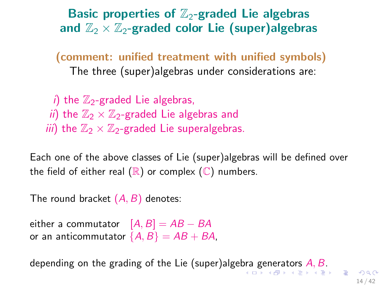<span id="page-13-0"></span>Basic properties of  $\mathbb{Z}_2$ -graded Lie algebras and  $\mathbb{Z}_2 \times \mathbb{Z}_2$ -graded color Lie (super)algebras

(comment: unified treatment with unified symbols) The three (super)algebras under considerations are:

i) the  $\mathbb{Z}_2$ -graded Lie algebras, ii) the  $\mathbb{Z}_2 \times \mathbb{Z}_2$ -graded Lie algebras and *iii*) the  $\mathbb{Z}_2 \times \mathbb{Z}_2$ -graded Lie superalgebras.

Each one of the above classes of Lie (super)algebras will be defined over the field of either real  $(\mathbb{R})$  or complex  $(\mathbb{C})$  numbers.

The round bracket  $(A, B)$  denotes:

either a commutator  $[A, B] = AB - BA$ or an anticommutator  $\{A, B\} = AB + BA$ .

depending on the grading of the Lie (super)alge[bra](#page-12-0) [ge](#page-14-0)[n](#page-12-0)[er](#page-13-0)[at](#page-14-0)[ors](#page-0-0)  $A, B$  $A, B$  $A, B$  $A, B$ [.](#page-41-0)

14 / 42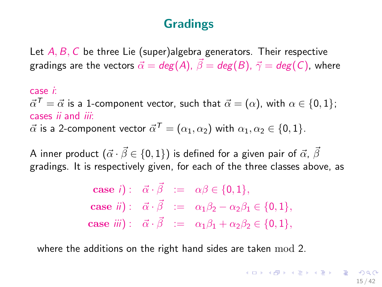# Gradings

<span id="page-14-0"></span>Let  $A, B, C$  be three Lie (super)algebra generators. Their respective gradings are the vectors  $\vec{\alpha} = deg(A), \vec{\beta} = deg(B), \vec{\gamma} = deg(C)$ , where

case i:  $\vec{\alpha}^{\, \mathcal{T}} = \vec{\alpha}$  is a 1-component vector, such that  $\vec{\alpha} = (\alpha)$ , with  $\alpha \in \{0,1\};$ cases ii and iii:  $\vec{\alpha}$  is a 2-component vector  $\vec{\alpha}^{\, \mathcal{T}} = (\alpha_1, \alpha_2)$  with  $\alpha_1, \alpha_2 \in \{0, 1\}.$ 

A inner product  $({\vec \alpha} \cdot {\vec \beta} \in \{0,1\})$  is defined for a given pair of  ${\vec \alpha}$ ,  ${\vec \beta}$ gradings. It is respectively given, for each of the three classes above, as

> **case** i):  $\vec{\alpha} \cdot \vec{\beta} := \alpha \beta \in \{0, 1\},\$ **case** ii):  $\vec{\alpha} \cdot \vec{\beta} := \alpha_1 \beta_2 - \alpha_2 \beta_1 \in \{0, 1\},\$ case iii):  $\vec{\alpha} \cdot \vec{\beta} := \alpha_1 \beta_1 + \alpha_2 \beta_2 \in \{0, 1\},\$

where the additions on the right hand sides are taken mod 2.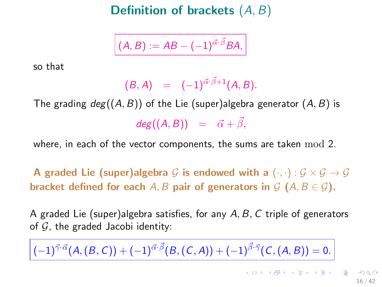Definition of brackets (A, B)

$$
(A, B) := AB - (-1)^{\vec{\alpha} \cdot \vec{\beta}} BA,
$$

so that

$$
(B, A) = (-1)^{\vec{\alpha} \cdot \vec{\beta} + 1} (A, B).
$$

The grading  $deg((A, B))$  of the Lie (super)algebra generator  $(A, B)$  is  $deg((A, B)) = \vec{\alpha} + \vec{\beta},$ 

where, in each of the vector components, the sums are taken mod 2.

A graded Lie (super)algebra G is endowed with a  $(\cdot, \cdot) : \mathcal{G} \times \mathcal{G} \rightarrow \mathcal{G}$ bracket defined for each A, B pair of generators in  $\mathcal{G}$  (A,  $B \in \mathcal{G}$ ).

A graded Lie (super)algebra satisfies, for any  $A, B, C$  triple of generators of  $G$ , the graded Jacobi identity:

 $(-1)^{\vec{\gamma}\cdot\vec{\alpha}}(A,(B,C))+(-1)^{\vec{\alpha}\cdot\vec{\beta}}(B,(C,A))+(-1)^{\vec{\beta}\cdot\vec{\gamma}}(C,(A,B))=0.$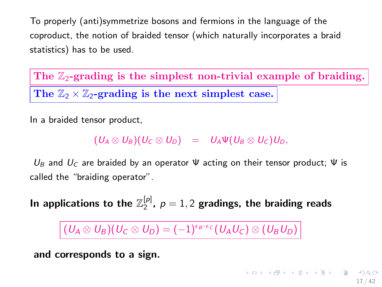<span id="page-16-0"></span>To properly (anti)symmetrize bosons and fermions in the language of the coproduct, the notion of braided tensor (which naturally incorporates a braid statistics) has to be used.

The  $\mathbb{Z}_2$ -grading is the simplest non-trivial example of braiding. The  $\mathbb{Z}_2 \times \mathbb{Z}_2$ -grading is the next simplest case.

In a braided tensor product,

 $(U_A \otimes U_B)(U_C \otimes U_D) = U_A \Psi(U_B \otimes U_C)U_D,$ 

 $U_B$  and  $U_C$  are braided by an operator  $\Psi$  acting on their tensor product;  $\Psi$  is called the "braiding operator".

In applications to the  $\mathbb{Z}_2^{[p]}$ ,  $\rho=1,2$  gradings, the braiding reads

 $(U_A \otimes U_B)(U_C \otimes U_D) = (-1)^{\epsilon_B \cdot \epsilon_C}(U_A U_C) \otimes (U_B U_D)$ 

and corresponds to a sign.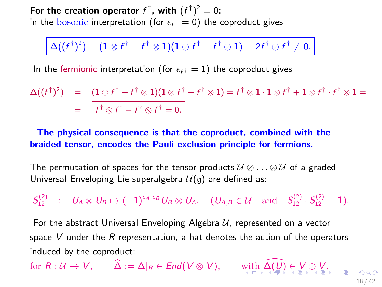<span id="page-17-0"></span>For the creation operator  $f^{\dagger}$ , with  $(f^{\dagger})^2 = 0$ : in the  $\overline{\text{bosonic}}$  interpretation (for  $\epsilon_{f^{\dagger}}=0$ ) the coproduct gives

$$
\Delta((f^{\dagger})^2) = (\mathbf{1} \otimes f^{\dagger} + f^{\dagger} \otimes \mathbf{1})(\mathbf{1} \otimes f^{\dagger} + f^{\dagger} \otimes \mathbf{1}) = 2f^{\dagger} \otimes f^{\dagger} \neq 0.
$$

In the fermionic interpretation (for  $\epsilon_{f^{\dagger}}=1$ ) the coproduct gives

$$
\Delta((f^{\dagger})^2) = (1 \otimes f^{\dagger} + f^{\dagger} \otimes 1)(1 \otimes f^{\dagger} + f^{\dagger} \otimes 1) = f^{\dagger} \otimes 1 \cdot 1 \otimes f^{\dagger} + 1 \otimes f^{\dagger} \cdot f^{\dagger} \otimes 1 =
$$
  
= 
$$
f^{\dagger} \otimes f^{\dagger} - f^{\dagger} \otimes f^{\dagger} = 0.
$$

The physical consequence is that the coproduct, combined with the braided tensor, encodes the Pauli exclusion principle for fermions.

The permutation of spaces for the tensor products  $\mathcal{U} \otimes \ldots \otimes \mathcal{U}$  of a graded Universal Enveloping Lie superalgebra  $\mathcal{U}(\mathfrak{g})$  are defined as:

 $\begin{array}{ccc} \mathcal{S}^{(2)}_{12} & : & \mathcal{U}_\mathcal{A} \otimes \mathcal{U}_\mathcal{B} \mapsto (-1)^{\epsilon_{\mathcal{A}} \cdot \epsilon_{\mathcal{B}}} \mathcal{U}_\mathcal{B} \otimes \mathcal{U}_\mathcal{A}, \quad (\mathcal{U}_{\mathcal{A},\mathcal{B}} \in \mathcal{U} \quad \mathrm{and} \quad \mathcal{S}^{(2)}_{12} \cdot \mathcal{S}^{(2)}_{12} = \mathbf{1}). \end{array}$ 

For the abstract Universal Enveloping Algebra  $U$ , represented on a vector space V under the R representation, a hat denotes the action of the operators induced by the coproduct:

for  $R: \mathcal{U} \to V$  $R: \mathcal{U} \to V$  $R: \mathcal{U} \to V$  $R: \mathcal{U} \to V$ ,  $\hat{\Delta} := \Delta|_{R} \in \mathit{End}(V \otimes V)$  $\hat{\Delta} := \Delta|_{R} \in \mathit{End}(V \otimes V)$  $\hat{\Delta} := \Delta|_{R} \in \mathit{End}(V \otimes V)$  $\hat{\Delta} := \Delta|_{R} \in \mathit{End}(V \otimes V)$ , [wit](#page-16-0)h  $\widehat{\Delta(\mathcal{U})} \in V \otimes V$ [.](#page-41-0)

18 / 42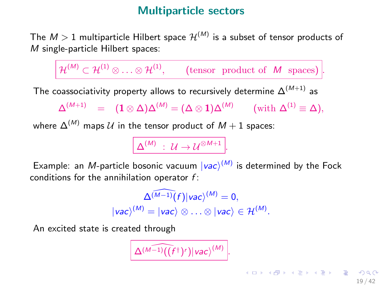## Multiparticle sectors

<span id="page-18-0"></span>The  $M>1$  multiparticle Hilbert space  $\mathcal{H}^{(M)}$  is a subset of tensor products of M single-particle Hilbert spaces:

 $\mathcal{H}^{(M)} \subset \mathcal{H}^{(1)} \otimes \ldots \otimes \mathcal{H}^{(1)}, \qquad \text{(tensor \ product of \ }M \text{ spaces)}.$ The coassociativity property allows to recursively determine  $\Delta^{(M+1)}$  as  $\Delta^{(M+1)}\quad = \quad ({\bf 1} \otimes \Delta) \Delta^{(M)} = (\Delta \otimes {\bf 1}) \Delta^{(M)} \qquad (\text{with } \Delta^{(1)} \equiv \Delta),$ 

where  $\Delta^{(M)}$  maps U in the tensor product of  $M + 1$  spaces:

 $\Delta^{(M)}\;:\;\mathcal{U}\rightarrow\mathcal{U}^{\otimes M+1}\left|.$ 

Example: an M-particle bosonic vacuum  $|vac\rangle^{(M)}$  is determined by the Fock conditions for the annihilation operator  $f$ :

$$
\Delta^{\widehat{(M-1)}}(f)|vac\rangle^{(M)} = 0,
$$
  

$$
|vac\rangle^{(M)} = |vac\rangle \otimes \ldots \otimes |vac\rangle \in \mathcal{H}^{(M)}.
$$

.

An excited state is created through

$$
\Delta^{(M-1)}((f^{\dagger})^r)|vac\rangle^{(M)}
$$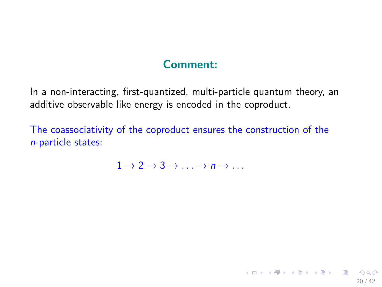## Comment:

In a non-interacting, first-quantized, multi-particle quantum theory, an additive observable like energy is encoded in the coproduct.

The coassociativity of the coproduct ensures the construction of the n-particle states:

 $1 \rightarrow 2 \rightarrow 3 \rightarrow \rightarrow n \rightarrow$ 

20 / 42

K ロ ▶ K @ ▶ K 할 ▶ K 할 ▶ → 할 → 9 Q @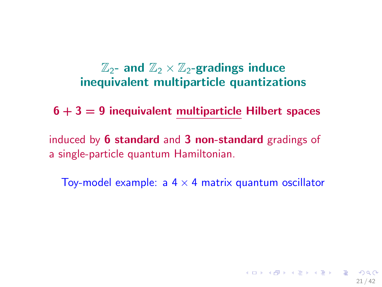# $\mathbb{Z}_2$ - and  $\mathbb{Z}_2 \times \mathbb{Z}_2$ -gradings induce inequivalent multiparticle quantizations

 $6 + 3 = 9$  inequivalent multiparticle Hilbert spaces

induced by 6 standard and 3 non-standard gradings of a single-particle quantum Hamiltonian.

Toy-model example: a  $4 \times 4$  matrix quantum oscillator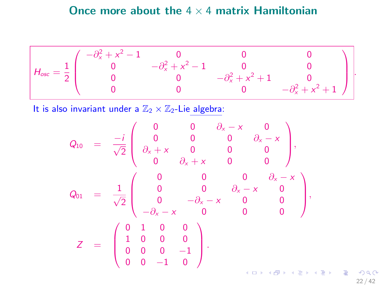## Once more about the  $4 \times 4$  matrix Hamiltonian

$$
H_{osc} = \frac{1}{2} \begin{pmatrix} -\partial_x^2 + x^2 - 1 & 0 & 0 & 0 \\ 0 & -\partial_x^2 + x^2 - 1 & 0 & 0 \\ 0 & 0 & -\partial_x^2 + x^2 + 1 & 0 \\ 0 & 0 & 0 & -\partial_x^2 + x^2 + 1 \end{pmatrix}.
$$

It is also invariant under a  $\mathbb{Z}_2 \times \mathbb{Z}_2$ -Lie algebra:

$$
Q_{10} = \frac{-i}{\sqrt{2}} \begin{pmatrix} 0 & 0 & \partial_x - x & 0 \\ 0 & 0 & 0 & \partial_x - x \\ \partial_x + x & 0 & 0 & 0 \\ 0 & \partial_x + x & 0 & 0 \end{pmatrix},
$$
  
\n
$$
Q_{01} = \frac{1}{\sqrt{2}} \begin{pmatrix} 0 & 0 & 0 & \partial_x - x \\ 0 & 0 & \partial_x - x & 0 \\ 0 & -\partial_x - x & 0 & 0 \\ -\partial_x - x & 0 & 0 & 0 \end{pmatrix},
$$
  
\n
$$
Z = \begin{pmatrix} 0 & 1 & 0 & 0 \\ 1 & 0 & 0 & 0 \\ 0 & 0 & 0 & -1 \\ 0 & 0 & -1 & 0 \end{pmatrix}.
$$

 $299$ 22 / 42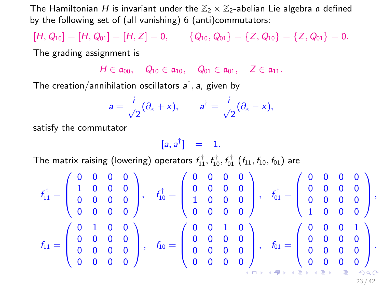The Hamiltonian H is invariant under the  $\mathbb{Z}_2 \times \mathbb{Z}_2$ -abelian Lie algebra a defined by the following set of (all vanishing) 6 (anti)commutators:

 $[H, Q_{10}] = [H, Q_{01}] = [H, Z] = 0,$   $\{Q_{10}, Q_{01}\} = \{Z, Q_{10}\} = \{Z, Q_{01}\} = 0.$ 

The grading assignment is

 $H \in \mathfrak{a}_{00}$ ,  $Q_{10} \in \mathfrak{a}_{10}$ ,  $Q_{01} \in \mathfrak{a}_{01}$ ,  $Z \in \mathfrak{a}_{11}$ .

The creation/annihilation oscillators  $a^{\dagger}$ , a, given by

$$
a=\frac{i}{\sqrt{2}}(\partial_x+x), \qquad a^{\dagger}=\frac{i}{\sqrt{2}}(\partial_x-x),
$$

satisfy the commutator

 $[a, a^{\dagger}] = 1.$ 

The matrix raising (lowering) operators  $f_{11}^{\dagger},f_{10}^{\dagger},f_{01}^{\dagger}$  ( $f_{11},f_{10},f_{01}$ ) are

$$
f_{11}^{\dagger}=\left(\begin{array}{cccc} 0 & 0 & 0 & 0 \\ 1 & 0 & 0 & 0 \\ 0 & 0 & 0 & 0 \\ 0 & 0 & 0 & 0 \end{array}\right), \quad f_{10}^{\dagger}=\left(\begin{array}{cccc} 0 & 0 & 0 & 0 \\ 0 & 0 & 0 & 0 \\ 1 & 0 & 0 & 0 \\ 0 & 0 & 0 & 0 \end{array}\right), \quad f_{01}^{\dagger}=\left(\begin{array}{cccc} 0 & 0 & 0 & 0 \\ 0 & 0 & 0 & 0 \\ 1 & 0 & 0 & 0 \\ 0 & 0 & 0 & 0 \end{array}\right), \quad f_{01}^{\dagger}=\left(\begin{array}{cccc} 0 & 0 & 0 & 0 \\ 0 & 0 & 0 & 0 \\ 1 & 0 & 0 & 0 \\ 1 & 0 & 0 & 0 \end{array}\right), \quad f_{11}=\left(\begin{array}{cccc} 0 & 0 & 0 & 1 \\ 0 & 0 & 0 & 0 \\ 1 & 0 & 0 & 0 \\ 0 & 0 & 0 & 0 \\ 0 & 0 & 0 & 0 \end{array}\right).
$$

23 / 42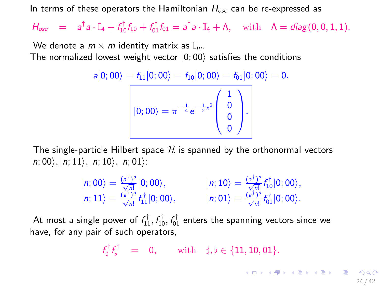In terms of these operators the Hamiltonian  $H_{osc}$  can be re-expressed as

 $H_{\text{osc}} = a^{\dagger} a \cdot \mathbb{I}_4 + f_{10}^{\dagger} f_{10} + f_{01}^{\dagger} f_{01} = a^{\dagger} a \cdot \mathbb{I}_4 + \Lambda, \text{ with } \Lambda = \text{diag}(0, 0, 1, 1).$ 

We denote a  $m \times m$  identity matrix as  $\mathbb{I}_m$ . The normalized lowest weight vector  $|0;00\rangle$  satisfies the conditions

$$
a|0;00\rangle = f_{11}|0;00\rangle = f_{10}|0;00\rangle = f_{01}|0;00\rangle = 0.
$$

| $\sqrt{2}$<br>$\ket{0;00}=\pi^{-\frac{1}{4}}$ e |  |  |
|-------------------------------------------------|--|--|
|                                                 |  |  |
|                                                 |  |  |

The single-particle Hilbert space  $H$  is spanned by the orthonormal vectors  $|n;00\rangle, |n;11\rangle, |n;10\rangle, |n;01\rangle:$ 

$$
\begin{array}{ll}\n|n;00\rangle = \frac{(a^{\dagger})^n}{\sqrt{n!}}|0;00\rangle, & |n;10\rangle = \frac{(a^{\dagger})^n}{\sqrt{n!}}f_{10}^{\dagger}|0;00\rangle, \\
|n;11\rangle = \frac{(a^{\dagger})^n}{\sqrt{n!}}f_{11}^{\dagger}|0;00\rangle, & |n;01\rangle = \frac{(a^{\dagger})^n}{\sqrt{n!}}f_{01}^{\dagger}|0;00\rangle.\n\end{array}
$$

At most a single power of  $f_{11}^{\dagger},f_{10}^{\dagger},f_{01}^{\dagger}$  enters the spanning vectors since we have, for any pair of such operators,

$$
f^{\dagger}_{\sharp}f^{\dagger}_{\flat} = 0, \quad \text{with} \quad \sharp, \flat \in \{11, 10, 01\}.
$$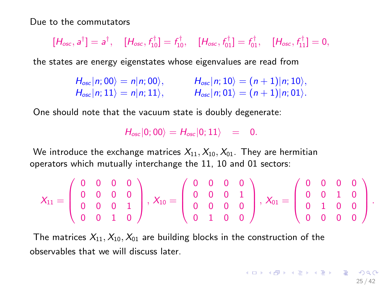Due to the commutators

$$
[H_{\rm osc},a^{\dagger}]=a^{\dagger}, \quad [H_{\rm osc},f_{10}^{\dagger}]=f_{10}^{\dagger}, \quad [H_{\rm osc},f_{01}^{\dagger}]=f_{01}^{\dagger}, \quad [H_{\rm osc},f_{11}^{\dagger}]=0,
$$

the states are energy eigenstates whose eigenvalues are read from

 $H_{osc} |n; 00\rangle = n |n; 00\rangle,$   $H_{osc} |n; 10\rangle = (n+1)|n; 10\rangle,$  $H_{\text{osc}}(n; 11) = n(n; 11), \qquad H_{\text{osc}}(n; 01) = (n+1)|n; 01\rangle.$ 

One should note that the vacuum state is doubly degenerate:

 $H_{\text{osc}}|0;00\rangle = H_{\text{osc}}|0;11\rangle = 0.$ 

We introduce the exchange matrices  $X_{11}, X_{10}, X_{01}$ . They are hermitian operators which mutually interchange the 11, 10 and 01 sectors:

$$
X_{11}=\left(\begin{array}{cccc} 0 & 0 & 0 & 0 \\ 0 & 0 & 0 & 0 \\ 0 & 0 & 0 & 1 \\ 0 & 0 & 1 & 0 \end{array}\right),\ X_{10}=\left(\begin{array}{cccc} 0 & 0 & 0 & 0 \\ 0 & 0 & 0 & 1 \\ 0 & 0 & 0 & 0 \\ 0 & 1 & 0 & 0 \end{array}\right),\ X_{01}=\left(\begin{array}{cccc} 0 & 0 & 0 & 0 \\ 0 & 0 & 1 & 0 \\ 0 & 1 & 0 & 0 \\ 0 & 0 & 0 & 0 \end{array}\right).
$$

The matrices  $X_{11}, X_{10}, X_{01}$  are building blocks in the construction of the observables that we will discuss later.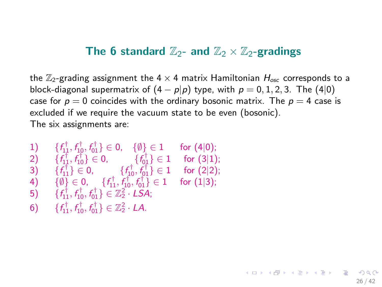#### The 6 standard  $\mathbb{Z}_2$ - and  $\mathbb{Z}_2 \times \mathbb{Z}_2$ -gradings

the  $\mathbb{Z}_2$ -grading assignment the  $4 \times 4$  matrix Hamiltonian  $H_{osc}$  corresponds to a block-diagonal supermatrix of  $(4 - p|p)$  type, with  $p = 0, 1, 2, 3$ . The  $(4|0)$ case for  $p = 0$  coincides with the ordinary bosonic matrix. The  $p = 4$  case is excluded if we require the vacuum state to be even (bosonic). The six assignments are:

26 / 42

K ロ ▶ K @ ▶ K 할 ▶ K 할 ▶ → 할 → 9 Q @

1) 
$$
\{f_{11}^{\dagger}, f_{10}^{\dagger}, f_{01}^{\dagger}\} \in 0
$$
,  $\{\emptyset\} \in 1$  for (4|0); \n2)  $\{f_{11}^{\dagger}, f_{10}^{\dagger}\} \in 0$ ,  $\{f_{01}^{\dagger}\} \in 1$  for (3|1); \n3)  $\{f_{11}^{\dagger}\} \in 0$ ,  $\{f_{10}^{\dagger}, f_{01}^{\dagger}\} \in 1$  for (2|2); \n4)  $\{\emptyset\} \in 0$ ,  $\{f_{11}^{\dagger}, f_{10}^{\dagger}, f_{01}^{\dagger}\} \in 1$  for (1|3); \n5)  $\{f_{11}^{\dagger}, f_{10}^{\dagger}, f_{01}^{\dagger}\} \in \mathbb{Z}_2^2 \cdot \text{LSA}$ ; \n6)  $\{f_{11}^{\dagger}, f_{10}^{\dagger}, f_{01}^{\dagger}\} \in \mathbb{Z}_2^2 \cdot \text{LAA}$ .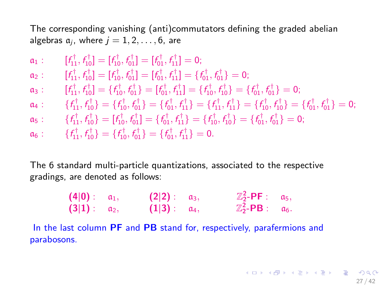The corresponding vanishing (anti)commutators defining the graded abelian algebras  $a_i$ , where  $j = 1, 2, \ldots, 6$ , are

$$
a_1: \t\t\t[f_1^{\dagger}, f_1^{\dagger}] = [f_1^{\dagger}, f_0^{\dagger}] = [f_0^{\dagger}, f_1^{\dagger}] = 0; \na_2: \t\t\t[f_1^{\dagger}, f_1^{\dagger}] = [f_1^{\dagger}, f_0^{\dagger}] = [f_0^{\dagger}, f_1^{\dagger}] = \{f_0^{\dagger}, f_0^{\dagger}\} = 0; \na_3: \t\t\t[f_1^{\dagger}, f_1^{\dagger}] = \{f_1^{\dagger}, f_0^{\dagger}\} = [f_0^{\dagger}, f_1^{\dagger}] = \{f_0^{\dagger}, f_0^{\dagger}\} = \{f_0^{\dagger}, f_0^{\dagger}\} = \{f_0^{\dagger}, f_0^{\dagger}\} = 0; \na_4: \t\t\t\{f_1^{\dagger}, f_0^{\dagger}\} = \{f_1^{\dagger}, f_0^{\dagger}\} = \{f_0^{\dagger}, f_1^{\dagger}\} = \{f_1^{\dagger}, f_1^{\dagger}\} = \{f_1^{\dagger}, f_0^{\dagger}\} = \{f_0^{\dagger}, f_0^{\dagger}\} = \{f_0^{\dagger}, f_0^{\dagger}\} = \{f_0^{\dagger}, f_0^{\dagger}\} = 0; \na_5: \t\t\t\{f_1^{\dagger}, f_1^{\dagger}\} = [f_1^{\dagger}, f_0^{\dagger}] = \{f_0^{\dagger}, f_1^{\dagger}\} = \{f_1^{\dagger}, f_1^{\dagger}\} = \{f_0^{\dagger}, f_0^{\dagger}\} = 0; \na_6: \t\t\t\{f_1^{\dagger}, f_0^{\dagger}\} = \{f_0^{\dagger}, f_0^{\dagger}\} = \{f_0^{\dagger}, f_1^{\dagger}\} = 0.
$$

The 6 standard multi-particle quantizations, associated to the respective gradings, are denoted as follows:

| $(4 0)$ : $a_1$ , | $(2 2):$ $\alpha_3$ , | $\mathbb{Z}_2^2$ -PF : $\alpha_5$ ,       |  |
|-------------------|-----------------------|-------------------------------------------|--|
| $(3 1)$ : $a_2$ , | $(1 3):$ $a_4$ ,      | $\mathbb{Z}_2^2$ -PB : $\mathfrak{a}_6$ . |  |

In the last column PF and PB stand for, respectively, parafermions and parabosons.

27 / 42

**KO KAR KEKKEK E YAN**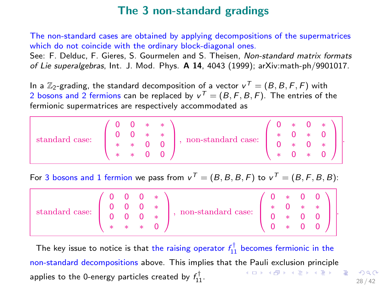## The 3 non-standard gradings

The non-standard cases are obtained by applying decompositions of the supermatrices which do not coincide with the ordinary block-diagonal ones.

See: F. Delduc, F. Gieres, S. Gourmelen and S. Theisen, Non-standard matrix formats of Lie superalgebras, Int. J. Mod. Phys. A 14, 4043 (1999); arXiv:math-ph/9901017.

In a  $\mathbb{Z}_2$ -grading, the standard decomposition of a vector  $\mathsf{v}^\mathcal{T} = (B,B,F,F)$  with 2 bosons and 2 fermions can be replaced by  $\mathsf{v}^\mathcal{T} = (B, \mathsf{F}, B, \mathsf{F}).$  The entries of the fermionic supermatrices are respectively accommodated as

| standard case: |   |         | $0 * * \sqrt{ }$ | $\frac{1}{2}$ , non-standard case: $\frac{1}{2}$ |  |                                               | $0 * 0 *$                                                                      |  |
|----------------|---|---------|------------------|--------------------------------------------------|--|-----------------------------------------------|--------------------------------------------------------------------------------|--|
|                |   |         |                  |                                                  |  | $\langle 0 \rangle \propto \langle \rangle^2$ |                                                                                |  |
|                | 宋 | $* 0 0$ |                  |                                                  |  |                                               | $\cdot$ 0 $*$                                                                  |  |
|                |   |         | $* * 0 0$        |                                                  |  |                                               | $\begin{array}{ccccc}\n\star & \star & 0 & \star & 0 & J\nonumber \end{array}$ |  |

For 3 bosons and 1 fermion we pass from  $v^T = (B, B, B, F)$  to  $v^T = (B, F, B, B)$ :

|  |  | $\text{standard case: } \left(\begin{array}{cccc} 0 & 0 & 0 & * \\ 0 & 0 & 0 & * \\ 0 & 0 & 0 & * \\ * & * & * & 0 \end{array}\right), \text{ non-standard case: } \left(\begin{array}{cccc} 0 & * & 0 & 0 \\ * & 0 & * & * \\ 0 & * & 0 & 0 \\ 0 & * & 0 & 0 \end{array}\right).$ |  |  |
|--|--|------------------------------------------------------------------------------------------------------------------------------------------------------------------------------------------------------------------------------------------------------------------------------------|--|--|

The key issue to notice is that the raising operator  $f_{11}^\dagger$  becomes fermionic in the non-standard decompositions above. This implies that the Pauli exclusion principle K ロ ▶ K @ ▶ K 할 > K 할 > → 할 → 9 Q Q applies to the 0-energy particles created by  $f_{11}^\dagger.$ 

28 / 42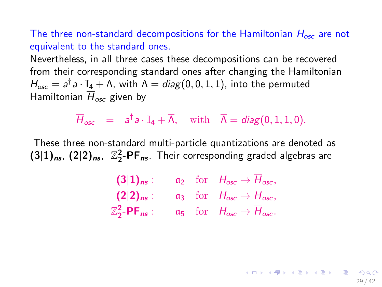The three non-standard decompositions for the Hamiltonian  $H_{osc}$  are not equivalent to the standard ones.

Nevertheless, in all three cases these decompositions can be recovered from their corresponding standard ones after changing the Hamiltonian  $H_{osc} = a^{\dagger} a \cdot \mathbb{I}_4 + \Lambda$ , with  $\Lambda = diag(0, 0, 1, 1)$ , into the permuted Hamiltonian  $\overline{H}_{osc}$  given by

 $\overline{H}_{osc}$  =  $a^{\dagger}a \cdot \mathbb{I}_4 + \overline{\Lambda}$ , with  $\overline{\Lambda} = diag(0, 1, 1, 0)$ .

These three non-standard multi-particle quantizations are denoted as  $(3|1)_{ns}$ ,  $(2|2)_{ns}$ ,  $\mathbb{Z}_2^2$ -PF<sub>ns</sub>. Their corresponding graded algebras are

$$
\begin{array}{ll}\n\textbf{(3|1)}_{\text{ns}}: & a_2 \quad \text{for} \quad H_{\text{osc}} \mapsto \overline{H}_{\text{osc}}, \\
\textbf{(2|2)}_{\text{ns}}: & a_3 \quad \text{for} \quad H_{\text{osc}} \mapsto \overline{H}_{\text{osc}}, \\
\mathbb{Z}_2^2 \text{-PF}_{\text{ns}}: & a_5 \quad \text{for} \quad H_{\text{osc}} \mapsto \overline{H}_{\text{osc}}.\n\end{array}
$$

 $\mathbf{E} = \mathbf{A} \oplus \mathbf{A} + \mathbf{A} \oplus \mathbf{A} + \mathbf{A} \oplus \mathbf{A} + \mathbf{A} \oplus \mathbf{A}$ 29 / 42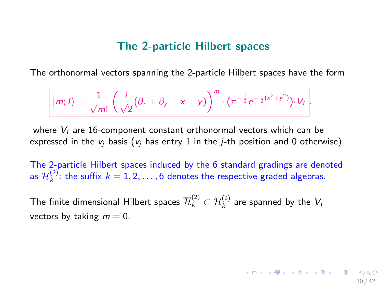#### The 2-particle Hilbert spaces

The orthonormal vectors spanning the 2-particle Hilbert spaces have the form

$$
|m; I\rangle = \frac{1}{\sqrt{m!}}\left(\frac{i}{\sqrt{2}}(\partial_x + \partial_y - x - y)\right)^m \cdot \left(\pi^{-\frac{1}{2}}e^{-\frac{1}{2}(x^2 + y^2)}\right) \cdot V_I,
$$

where  $V_I$  are 16-component constant orthonormal vectors which can be expressed in the  $v_i$  basis ( $v_i$  has entry 1 in the *j*-th position and 0 otherwise).

The 2-particle Hilbert spaces induced by the 6 standard gradings are denoted as  $\mathcal{H}_k^{(2)}$ ; the suffix  $k = 1, 2, \ldots, 6$  denotes the respective graded algebras.

30 / 42

The finite dimensional Hilbert spaces  $\overline{\mathcal{H}}^{(2)}_k\subset \mathcal{H}^{(2)}_k$  are spanned by the  $V_k$ vectors by taking  $m = 0$ .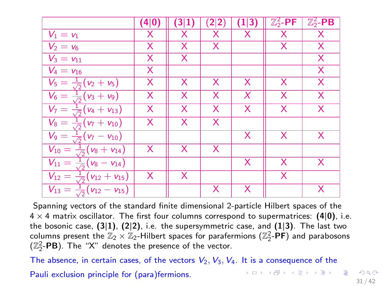|                                                | (4 0)        | (3 1) | 2 2) | (1 3) | $\mathbb{Z}_2^2$ -PF | $\mathbb{Z}_2^2$ -PB |
|------------------------------------------------|--------------|-------|------|-------|----------------------|----------------------|
| $V_1 = v_1$                                    | X            | Х     | х    | X     | Х                    | X                    |
| $V_2 = v_6$                                    | X            | X     | X    |       | X                    | X                    |
| $\overline{V_3} = v_{11}$                      | X            | X     |      |       |                      | X                    |
| $V_4 = v_{16}$                                 | X            |       |      |       |                      | X                    |
| $V_5 = \frac{1}{\sqrt{2}}(v_2 + v_5)$          | X.           | X     | X    | X     | X                    | X                    |
| $V_6 = \frac{1}{\sqrt{2}}(v_3 + v_9)$          | X            | X     | X    | X     | X                    | X                    |
| $V_7 = \frac{1}{\sqrt{2}}(v_4 + v_{13})$       | X            | X     | X    | X     | X                    | X                    |
| $V_8 = \frac{1}{\sqrt{2}}(\nu_7 + \nu_{10})$   | X            | X     | X    |       |                      |                      |
| $V_9 = \frac{1}{\sqrt{2}}(v_7 - v_{10})$       |              |       |      | X     | X                    | X                    |
| $V_{10} = \frac{1}{\sqrt{2}}(v_8 + v_{14})$    | X.           | X     | X    |       |                      |                      |
| $V_{11} = \frac{1}{\sqrt{2}} (v_8 - v_{14})$   |              |       |      | X     | X                    | X                    |
| $V_{12}=\frac{1}{\sqrt{2}}(v_{12}+v_{15})$     | $\mathsf{X}$ | X     |      |       | X                    |                      |
| $V_{13} = \frac{1}{\sqrt{2}}(v_{12} - v_{15})$ |              |       | X    | X     |                      | X                    |

Spanning vectors of the standard finite dimensional 2-particle Hilbert spaces of the  $4 \times 4$  matrix oscillator. The first four columns correspond to supermatrices: (4|0), i.e. the bosonic case,  $(3|1)$ ,  $(2|2)$ , i.e. the supersymmetric case, and  $(1|3)$ . The last two columns present the  $\mathbb{Z}_2 \times \mathbb{Z}_2$ -Hilbert spaces for parafermions  $(\mathbb{Z}_2^2$ -PF) and parabosons  $(\mathbb{Z}_2^2$ -PB). The "X" denotes the presence of the vector.

The absence, in certain cases, of the vectors  $V_2$ ,  $V_3$ ,  $V_4$ . It is a consequence of the

Pauli exclusion principle for (para)fermions.

K ロ ▶ K @ ▶ K 할 ▶ K 할 ▶ 이 할 → 9 Q Q → 31 / 42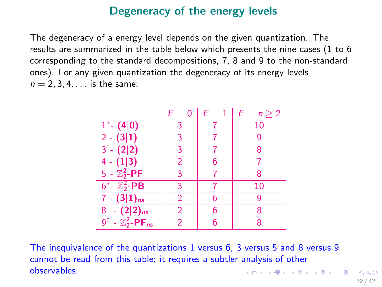## Degeneracy of the energy levels

The degeneracy of a energy level depends on the given quantization. The results are summarized in the table below which presents the nine cases (1 to 6 corresponding to the standard decompositions, 7, 8 and 9 to the non-standard ones). For any given quantization the degeneracy of its energy levels  $n = 2, 3, 4, \ldots$  is the same:

|                                                      | $E=0$ | $E=1$ | $E = n \geq 2$ |
|------------------------------------------------------|-------|-------|----------------|
| $1^* - (4 0)$                                        | 3     |       | 10             |
| $2 - (3 1)$                                          | 3     |       | 9              |
| $3^{\dagger}$ (2 2)                                  | 3     |       | 8              |
| $4 - (1 3)$                                          | 2     | 6     |                |
| $5^{\dagger}$ - $\mathbb{Z}_2^2$ -PF                 | 3     |       | 8              |
| $6^* - \mathbb{Z}_2^2 - PB$                          | 3     |       | 10             |
| $7 - (3 1)_{ns}$                                     | 2     | 6     | 9              |
| $8^{\frac{1}{4}} - (2 2)_{ns}$                       | 2     | 6     | 8              |
| $\overline{9^{\ddagger} - \mathbb{Z}_2^2 - PF_{ns}}$ | 2     | 6     | 8              |

The inequivalence of the quantizations 1 versus 6, 3 versus 5 and 8 versus 9 cannot be read from this table; it requires a subtler analysis of other observables. **KORK EXTERNS AND KOOK**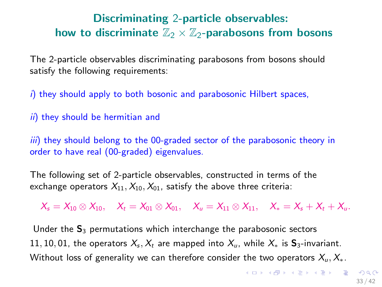## Discriminating 2-particle observables: how to discriminate  $\mathbb{Z}_2 \times \mathbb{Z}_2$ -parabosons from bosons

The 2-particle observables discriminating parabosons from bosons should satisfy the following requirements:

 $i)$  they should apply to both bosonic and parabosonic Hilbert spaces,

 $ii)$  they should be hermitian and

iii) they should belong to the 00-graded sector of the parabosonic theory in order to have real (00-graded) eigenvalues.

The following set of 2-particle observables, constructed in terms of the exchange operators  $X_{11}, X_{10}, X_{01}$ , satisfy the above three criteria:

 $X_s = X_{10} \otimes X_{10}, \quad X_t = X_{01} \otimes X_{01}, \quad X_u = X_{11} \otimes X_{11}, \quad X_s = X_s + X_t + X_u.$ 

Under the  $S_3$  permutations which interchange the parabosonic sectors 11, 10, 01, the operators  $X_s$ ,  $X_t$  are mapped into  $X_u$ , while  $X_*$  is  $S_3$ -invariant. Without loss of generality we can therefore consider the two operators  $X_u, X_*$ .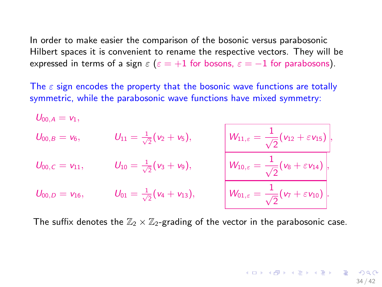In order to make easier the comparison of the bosonic versus parabosonic Hilbert spaces it is convenient to rename the respective vectors. They will be expressed in terms of a sign  $\varepsilon$  ( $\varepsilon = +1$  for bosons,  $\varepsilon = -1$  for parabosons).

The  $\varepsilon$  sign encodes the property that the bosonic wave functions are totally symmetric, while the parabosonic wave functions have mixed symmetry:

$$
U_{00,A} = v_1,
$$
\n
$$
U_{00,B} = v_6,
$$
\n
$$
U_{11} = \frac{1}{\sqrt{2}}(v_2 + v_5),
$$
\n
$$
U_{00,C} = v_{11},
$$
\n
$$
U_{10} = \frac{1}{\sqrt{2}}(v_3 + v_9),
$$
\n
$$
U_{11,c} = \frac{1}{\sqrt{2}}(v_{12} + \varepsilon v_{15}),
$$
\n
$$
W_{11,c} = \frac{1}{\sqrt{2}}(v_{12} + \varepsilon v_{15}),
$$
\n
$$
W_{10,c} = \frac{1}{\sqrt{2}}(v_8 + \varepsilon v_{14}),
$$
\n
$$
W_{01,c} = \frac{1}{\sqrt{2}}(v_7 + \varepsilon v_{10}).
$$

The suffix denotes the  $\mathbb{Z}_2 \times \mathbb{Z}_2$ -grading of the vector in the parabosonic case.

34 / 42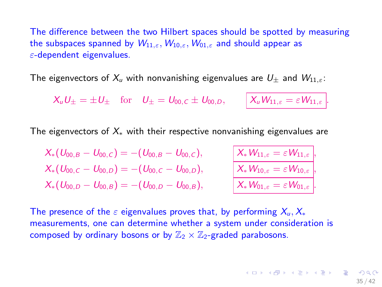The difference between the two Hilbert spaces should be spotted by measuring the subspaces spanned by  $W_{11,\varepsilon}$ ,  $W_{10,\varepsilon}$ ,  $W_{01,\varepsilon}$  and should appear as  $\varepsilon$ -dependent eigenvalues.

The eigenvectors of  $X_u$  with nonvanishing eigenvalues are  $U_{\pm}$  and  $W_{11,\epsilon}$ :

 $X_u U_{\pm} = \pm U_{\pm}$  for  $U_{\pm} = U_{00,C} \pm U_{00,D}$ ,  $X_u W_{11,\epsilon} = \epsilon W_{11,\epsilon}$ .

The eigenvectors of  $X_*$  with their respective nonvanishing eigenvalues are

 $X_*(U_{00,B} - U_{00,C}) = - (U_{00,B} - U_{00,C}), \qquad |X_*W_{11,\varepsilon}| = \varepsilon W_{11,\varepsilon}$  $X_*(U_{00,C} - U_{00,D}) = - (U_{00,C} - U_{00,D}), \qquad X_*W_{10,\varepsilon} = \varepsilon W_{10,\varepsilon}$  $X_*(U_{00,D} - U_{00,B}) = - (U_{00,D} - U_{00,B}), \qquad | X_* W_{01,\varepsilon} = \varepsilon W_{01,\varepsilon}$ 

The presence of the  $\varepsilon$  eigenvalues proves that, by performing  $X_u, X_u$ measurements, one can determine whether a system under consideration is composed by ordinary bosons or by  $\mathbb{Z}_2 \times \mathbb{Z}_2$ -graded parabosons.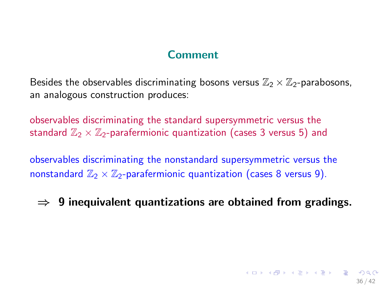## **Comment**

Besides the observables discriminating bosons versus  $\mathbb{Z}_2 \times \mathbb{Z}_2$ -parabosons, an analogous construction produces:

observables discriminating the standard supersymmetric versus the standard  $\mathbb{Z}_2 \times \mathbb{Z}_2$ -parafermionic quantization (cases 3 versus 5) and

observables discriminating the nonstandard supersymmetric versus the nonstandard  $\mathbb{Z}_2 \times \mathbb{Z}_2$ -parafermionic quantization (cases 8 versus 9).

## $\Rightarrow$  9 inequivalent quantizations are obtained from gradings.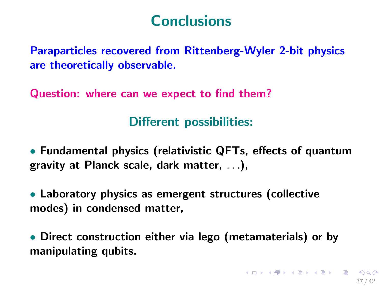# Conclusions

<span id="page-36-0"></span>Paraparticles recovered from Rittenberg-Wyler 2-bit physics are theoretically observable.

Question: where can we expect to find them?

Different possibilities:

• Fundamental physics (relativistic QFTs, effects of quantum gravity at Planck scale, dark matter, . . .),

• Laboratory physics as emergent structures (collective modes) in condensed matter,

• Direct construction either via lego (metamaterials) or by manipulating qubits.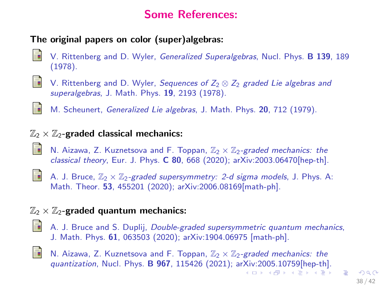# Some References:

#### <span id="page-37-0"></span>The original papers on color (super)algebras:

- V. Rittenberg and D. Wyler, Generalized Superalgebras, Nucl. Phys. B 139, 189 (1978).
- 螶

Ŧ

- V. Rittenberg and D. Wyler, Sequences of  $Z_2 \otimes Z_2$  graded Lie algebras and superalgebras, J. Math. Phys. 19, 2193 (1978).
- M. Scheunert, Generalized Lie algebras, J. Math. Phys. 20, 712 (1979).

#### $\mathbb{Z}_2 \times \mathbb{Z}_2$ -graded classical mechanics:

- N. Aizawa, Z. Kuznetsova and F. Toppan,  $\mathbb{Z}_2 \times \mathbb{Z}_2$ -graded mechanics: the classical theory, Eur. J. Phys. C 80, 668 (2020); arXiv:2003.06470[hep-th].
- 量

A. J. Bruce,  $\mathbb{Z}_2 \times \mathbb{Z}_2$ -graded supersymmetry: 2-d sigma models, J. Phys. A: Math. Theor. 53, 455201 (2020); arXiv:2006.08169[math-ph].

#### $\mathbb{Z}_2 \times \mathbb{Z}_2$ -graded quantum mechanics:

- A. J. Bruce and S. Duplij, Double-graded supersymmetric quantum mechanics, J. Math. Phys. 61, 063503 (2020); arXiv:1904.06975 [math-ph].
- 螶

N. Aizawa, Z. Kuznetsova and F. Toppan,  $\mathbb{Z}_2 \times \mathbb{Z}_2$ -graded mechanics: the quantization, Nucl. Phys. B 967, 115426 (2021); ar[Xiv](#page-36-0):[20](#page-38-0)[0](#page-36-0)[5.1](#page-37-0)[0](#page-38-0)[759](#page-0-0)[\[he](#page-41-0)[p-t](#page-0-0)[h\].](#page-41-0) K ロ ▶ K @ ▶ K 경 ▶ K 경 ▶ X 경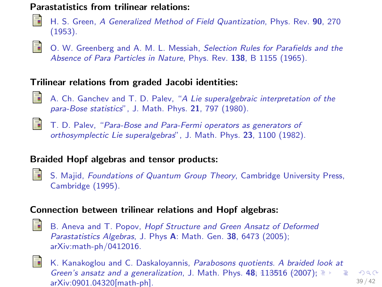#### <span id="page-38-0"></span>Parastatistics from trilinear relations:



H. S. Green, A Generalized Method of Field Quantization, Phys. Rev. 90, 270 (1953).



O. W. Greenberg and A. M. L. Messiah, Selection Rules for Parafields and the Absence of Para Particles in Nature, Phys. Rev. 138, B 1155 (1965).

#### Trilinear relations from graded Jacobi identities:

- 螶
- A. Ch. Ganchev and T. D. Palev, "A Lie superalgebraic interpretation of the para-Bose statistics", J. Math. Phys. 21, 797 (1980).
- E.

T. D. Palev, "Para-Bose and Para-Fermi operators as generators of orthosymplectic Lie superalgebras", J. Math. Phys. 23, 1100 (1982).

## Braided Hopf algebras and tensor products:

晶

S. Majid, Foundations of Quantum Group Theory, Cambridge University Press, Cambridge (1995).

#### Connection between trilinear relations and Hopf algebras:

冨

B. Aneva and T. Popov, Hopf Structure and Green Ansatz of Deformed Parastatistics Algebras, J. Phys A: Math. Gen. 38, 6473 (2005); arXiv:math-ph/0412016.



K. Kanakoglou and C. Daskaloyannis, Parabosons quotients. A braided look at Green's ansatz and a generalization, J. Math. Phys. [48](#page-37-0), [1](#page-39-0)[1](#page-37-0)[351](#page-38-0)[6](#page-39-0) [\(2](#page-0-0)[007](#page-41-0)[\);](#page-0-0)  $\equiv$  $299$ arXiv:0901.04320[math-ph]. 39 / 42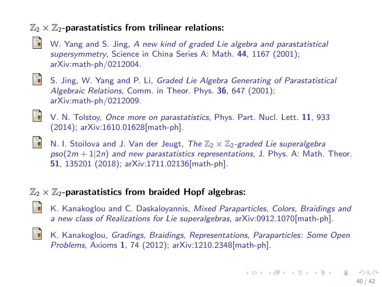#### <span id="page-39-0"></span> $\mathbb{Z}_2 \times \mathbb{Z}_2$ -parastatistics from trilinear relations:

- 
- W. Yang and S. Jing, A new kind of graded Lie algebra and parastatistical supersymmetry, Science in China Series A: Math. 44, 1167 (2001); arXiv:math-ph/0212004.
- 晶

S. Jing, W. Yang and P. Li, Graded Lie Algebra Generating of Parastatistical Algebraic Relations, Comm. in Theor. Phys. 36, 647 (2001); arXiv:math-ph/0212009.

晶

晶

V. N. Tolstoy, Once more on parastatistics, Phys. Part. Nucl. Lett. 11, 933 (2014); arXiv:1610.01628[math-ph].

N. I. Stoilova and J. Van der Jeugt, The  $\mathbb{Z}_2 \times \mathbb{Z}_2$ -graded Lie superalgebra  $pso(2m + 1|2n)$  and new parastatistics representations, J. Phys. A: Math. Theor. 51, 135201 (2018); arXiv:1711.02136[math-ph].

#### $\mathbb{Z}_2 \times \mathbb{Z}_2$ -parastatistics from braided Hopf algebras:

- K. Kanakoglou and C. Daskaloyannis, Mixed Paraparticles, Colors, Braidings and a new class of Realizations for Lie superalgebras, arXiv:0912.1070[math-ph].
	- K. Kanakoglou, Gradings, Braidings, Representations, Paraparticles: Some Open Problems, Axioms 1, 74 (2012); arXiv:1210.2348[math-ph].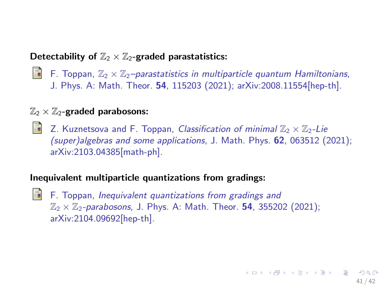#### Detectability of  $\mathbb{Z}_2 \times \mathbb{Z}_2$ -graded parastatistics:

**F.** Toppan,  $\mathbb{Z}_2 \times \mathbb{Z}_2$ -parastatistics in multiparticle quantum Hamiltonians, J. Phys. A: Math. Theor. 54, 115203 (2021); arXiv:2008.11554[hep-th].

#### $\mathbb{Z}_2 \times \mathbb{Z}_2$ -graded parabosons:

**Z.** Kuznetsova and F. Toppan, Classification of minimal  $\mathbb{Z}_2 \times \mathbb{Z}_2$ -Lie (super)algebras and some applications, J. Math. Phys. 62, 063512 (2021); arXiv:2103.04385[math-ph].

#### Inequivalent multiparticle quantizations from gradings:

 $\blacksquare$  F. Toppan, Inequivalent quantizations from gradings and  $\mathbb{Z}_2 \times \mathbb{Z}_2$ -parabosons, J. Phys. A: Math. Theor. **54**, 355202 (2021); arXiv:2104.09692[hep-th].